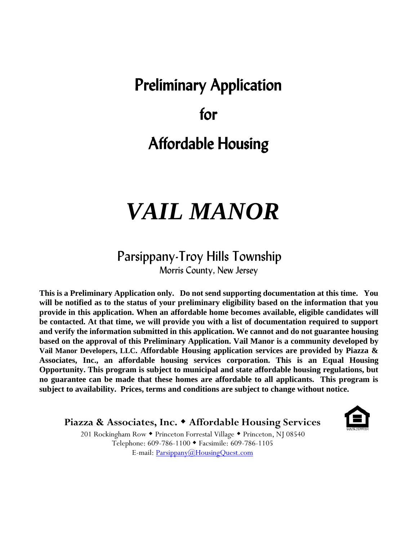# Preliminary Application

### for

# Affordable Housing

# *VAIL MANOR*

### Parsippany-Troy Hills Township

Morris County, New Jersey

**This is a Preliminary Application only. Do not send supporting documentation at this time. You will be notified as to the status of your preliminary eligibility based on the information that you provide in this application. When an affordable home becomes available, eligible candidates will be contacted. At that time, we will provide you with a list of documentation required to support and verify the information submitted in this application. We cannot and do not guarantee housing based on the approval of this Preliminary Application. Vail Manor is a community developed by Vail Manor Developers, LLC. Affordable Housing application services are provided by Piazza & Associates, Inc., an affordable housing services corporation. This is an Equal Housing Opportunity. This program is subject to municipal and state affordable housing regulations, but no guarantee can be made that these homes are affordable to all applicants. This program is subject to availability. Prices, terms and conditions are subject to change without notice.**

#### **Piazza & Associates, Inc. Affordable Housing Services**



201 Rockingham Row • Princeton Forrestal Village • Princeton, NJ 08540 Telephone: 609-786-1100 Facsimile: 609-786-1105 E-mail: [Parsippany@HousingQuest.com](mailto:Parsippany@HousingQuest.com)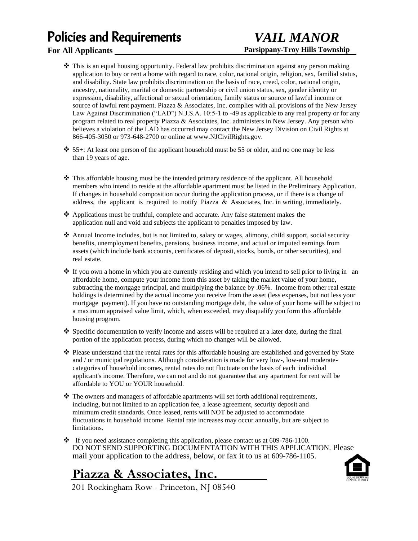## Policies and Requirements

#### **For All Applicants**

### *VAIL MANOR* **Parsippany-Troy Hills Township**

- ❖ This is an equal housing opportunity. Federal law prohibits discrimination against any person making application to buy or rent a home with regard to race, color, national origin, religion, sex, familial status, and disability. State law prohibits discrimination on the basis of race, creed, color, national origin, ancestry, nationality, marital or domestic partnership or civil union status, sex, gender identity or expression, disability, affectional or sexual orientation, family status or source of lawful income or source of lawful rent payment. Piazza & Associates, Inc. complies with all provisions of the New Jersey Law Against Discrimination ("LAD") N.J.S.A. 10:5-1 to -49 as applicable to any real property or for any program related to real property Piazza & Associates, Inc. administers in New Jersey. Any person who believes a violation of the LAD has occurred may contact the New Jersey Division on Civil Rights at 866-405-3050 or 973-648-2700 or online a[t www.NJCivilRights.gov.](http://www.njcivilrights.gov/)
- ❖ 55+: At least one person of the applicant household must be 55 or older, and no one may be less than 19 years of age.
- ❖ This affordable housing must be the intended primary residence of the applicant. All household members who intend to reside at the affordable apartment must be listed in the Preliminary Application. If changes in household composition occur during the application process, or if there is a change of address, the applicant is required to notify Piazza & Associates, Inc. in writing, immediately.
- ❖ Applications must be truthful, complete and accurate. Any false statement makes the application null and void and subjects the applicant to penalties imposed by law.
- ❖ Annual Income includes, but is not limited to, salary or wages, alimony, child support, social security benefits, unemployment benefits, pensions, business income, and actual or imputed earnings from assets (which include bank accounts, certificates of deposit, stocks, bonds, or other securities), and real estate.
- ❖ If you own a home in which you are currently residing and which you intend to sell prior to living in an affordable home, compute your income from this asset by taking the market value of your home, subtracting the mortgage principal, and multiplying the balance by .06%. Income from other real estate holdings is determined by the actual income you receive from the asset (less expenses, but not less your mortgage payment). If you have no outstanding mortgage debt, the value of your home will be subject to a maximum appraised value limit, which, when exceeded, may disqualify you form this affordable housing program.
- ◆ Specific documentation to verify income and assets will be required at a later date, during the final portion of the application process, during which no changes will be allowed.
- ❖ Please understand that the rental rates for this affordable housing are established and governed by State and / or municipal regulations. Although consideration is made for very low-, low-and moderatecategories of household incomes, rental rates do not fluctuate on the basis of each individual applicant's income. Therefore, we can not and do not guarantee that any apartment for rent will be affordable to YOU or YOUR household.
- ❖ The owners and managers of affordable apartments will set forth additional requirements, including, but not limited to an application fee, a lease agreement, security deposit and minimum credit standards. Once leased, rents will NOT be adjusted to accommodate fluctuations in household income. Rental rate increases may occur annually, but are subject to limitations.
- ❖ If you need assistance completing this application, please contact us at 609-786-1100. DO NOT SEND SUPPORTING DOCUMENTATION WITH THIS APPLICATION. Please mail your application to the address, below, or fax it to us at 609-786-1105.

### **Piazza & Associates, Inc.**



201 Rockingham Row - Princeton, NJ 08540